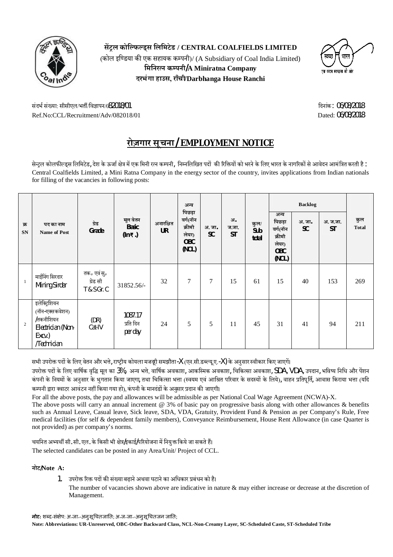

**स¤ůल कोिÐफÐड्स िलिमटेड / CENTRAL COALFIELDS LIMITED** (कोल इण्डिया की एक सहायक कम्पनी)/ (A Subsidiary of Coal India Limited) **मिनिरत्न कम्पनी/A Miniratna Company दरभंगा हाउस, राँची/Darbhanga House Ranchi**



संदर्भ संख्या: सीसीएल/भर्ती/विज्ञापन/(82018/01 कर कार्यक्रम) करता है कि अन्न कर कर कर कर कर कर कर कर कर संदिग् Ref.No:CCL/Recruitment/Adv/082018/01 Dated: 06/08/2018

# **रोज़गार सूचना/ EMPLOYMENT NOTICE**

सेन्ट्रल कोलफील्ड्स लिमिटेड, देश के ऊर्जा क्षेत्र में एक मिनी रत्न कम्पनी, निम्नलिखित पदों की रिक्तियों को भरने के लिए भारत के नागरिकों से आवेदन आमंत्रित करती है : Central Coalfields Limited, a Mini Ratna Company in the energy sector of the country, invites applications from Indian nationals for filling of the vacancies in following posts:

|                  |                                                                                             |                                        | मूल वेतन<br><b>Basic</b><br>$(ln \overline{\tau})$ | अनारक्षित<br><b>UR</b> | अन्य<br>पिछड़ा<br>वर्ग(नॉन<br>क्रीमी<br>लेयर)<br><b>OBC</b><br>(NCL) | अ. जा.<br><b>SC</b> |                          | कुल/<br>Sub<br>total |                                                                      |                     |                       |                     |
|------------------|---------------------------------------------------------------------------------------------|----------------------------------------|----------------------------------------------------|------------------------|----------------------------------------------------------------------|---------------------|--------------------------|----------------------|----------------------------------------------------------------------|---------------------|-----------------------|---------------------|
| क्र<br><b>SN</b> | पद का नाम<br><b>Name of Post</b>                                                            | ग्रेड<br>Grade                         |                                                    |                        |                                                                      |                     | अ.<br>ज.जा.<br><b>ST</b> |                      | अन्य<br>पिछड़ा<br>वर्ग(नॉन<br>क्रीमी<br>लेयर)<br><b>OBC</b><br>(NCL) | अ. जा.<br><b>SC</b> | अ. ज.जा.<br><b>ST</b> | कुल<br><b>Total</b> |
| $\mathbf{1}$     | माईनिंग सिरदार<br><b>Mining Sirdar</b>                                                      | तक॰ एवं सु॰<br>ग्रेड सी<br>T & S Gr. C | 31852.56/-                                         | 32                     | $\tau$                                                               | 7                   | 15                       | 61                   | 15                                                                   | 40                  | 153                   | 269                 |
| 2                | इलेक्ट्रिशियन<br>(नॉन-एक्सकवेशन)<br>/तकनीशियन<br>Electrician (Non-<br>Excv.)<br>/Technician | (DR)<br>Cat-IV                         | 1087.17<br>प्रति दिन<br>per day                    | 24                     | 5                                                                    | 5                   | 11                       | 45                   | 31                                                                   | 41                  | 94                    | 211                 |

सभी उपरोक्त पदों के लिए वेतन और भत्ते, राष्टीय कोयला मजदूरी समझौता-X (एन.सी.डब्ल्यू.ए.-X) के अनुसार स्वीकार किए जाएगें।

उपरोक्त पदों के लिए वार्षिक वृद्धि मूल का 3%, अन्य भत्ते, वार्षिक अवकाश, आकस्मिक अवकाश, चिकित्सा अवकाश, SDA, VDA, उपदान, भविष्य निधि और पेंशन कंपनी के नियमों के अनुसार के भुगतान किया जाएगा, तथा चिकित्सा भत्ता (स्वयम एवं आश्रित परिवार के सदस्यों के लिये), वाहन प्रतिपूर्ति, आवास किराया भत्ता (यदि कम्पनी द्वारा क्वाटर आवंटन नहीं किया गया हो), कंपनी के मानदंडों के अनुसार प्रदान की जाएगी।

For all the above posts, the pay and allowances will be admissible as per National Coal Wage Agreement (NCWA)-X.

The above posts will carry an annual increment @ 3% of basic pay on progressive basis along with other allowances & benefits such as Annual Leave, Casual leave, Sick leave, SDA, VDA, Gratuity, Provident Fund & Pension as per Company's Rule, Free medical facilities (for self & dependent family members), Conveyance Reimbursement, House Rent Allowance (in case Quarter is not provided) as per company's norms.

चयनित अभ्यर्थी सी. सी. एल. के किसी भी क्षेत्र/इकाई/परियोजना में नियुक्त किये जा सकते हैं। The selected candidates can be posted in any Area/Unit/ Project of CCL.

### **नोट/Note A:**

- 1. उपरोक्त रिक्त पदों की संख्या बढाने अथवा घटाने का अधिकार प्रबंधन को है।
	- The number of vacancies shown above are indicative in nature & may either increase or decrease at the discretion of Management.

**नोट:** शÞद-सं¢ेप: अ॰जा॰-अनुसू ͬचतजाǓत; अ॰ज॰जा॰-अनुसू ͬचतजन जाǓत;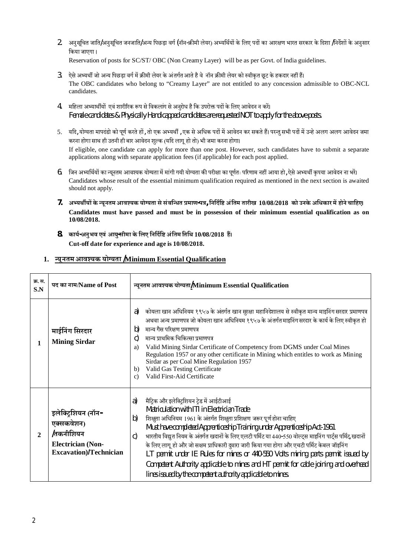- 2. अनुसूचित जाति/अनुसूचित जनजाति/अन्य पिछड़ा वर्ग (नॉन-क्रीमी लेयर) अभ्यर्थियों के लिए पदों का आरक्षण भारत सरकार के दिशा /निर्देशों के अनसार िकया जाएगा । Reservation of posts for SC/ST/ OBC (Non Creamy Layer) will be as per Govt. of India guidelines.
- 3. ऐसे अभ्यर्थी जो अन्य पिछड़ा वर्ग में क्रीमी लेयर के अंतर्गत आते है वे नॉन क्रीमी लेयर को स्वीकृत छूट के हकदार नहीं हैं। The OBC candidates who belong to "Creamy Layer" are not entitled to any concession admissible to OBC-NCL candidates.
- 4. महिला अभ्यार्थीयों एवं शारीरिक रूप से विकलांग से अनुरोध है कि उपरोक्त पदों के लिए आवेदन न करें। Female candidates & Physically Handicapped candidates are requested NOT to apply for the above posts.
- 5. यदि, योग्यता मापदंडो को पूर्ण करते हों, तो एक अभ्यर्थी , एक से अधिक पदों में आवेदन कर सकते हैं। परन्त सभी पदों में उन्हे अलग अलग आवेदन जमा करना होगा साथ ही उतनी ही बार आवेदन शुल्क (यदि लागू हो तो) भी जमा करना होगा। If eligible, one candidate can apply for more than one post. However, such candidates have to submit a separate applications along with separate application fees (if applicable) for each post applied.
- 6. जिन अभ्यर्थियों का न्यूनतम आवश्यक योग्यता में मांगी गयी योग्यता की परीक्षा का पूर्णतः परिणाम नहीं आया हो, ऐसे अभ्यर्थी कृपया आवेदन ना भरें। Candidates whose result of the essential minimum qualification required as mentioned in the next section is awaited should not apply.
- **7. अËयथêयŌ के ÆयूनतमआवÔयक योµयता से संबिÆधत ÿमाण-पý, िनिदªिĶ अंितम तारीख 10/08/2018 को उनके अिधकार म¤ होनेचािहए। Candidates must have passed and must be in possession of their minimum essential qualification as on 10/08/2018.**
- **8. कायª-अनुभव एवं आयु-सीमा केिलए िनिदªिĶ अंितम ितिथ 10/08/2018 ह§। Cut-off date for experience and age is 10/08/2018.**

| क्र. स.<br>S.N | पद का नाम/Name of Post                                                                                              | न्यूनतम आवश्यक योग्यता/Minimum Essential Qualification                                                                                                                                                                                                                                                                                                                                                                                                                                                                                                                                                                                                                                                                                         |  |  |  |  |  |  |  |
|----------------|---------------------------------------------------------------------------------------------------------------------|------------------------------------------------------------------------------------------------------------------------------------------------------------------------------------------------------------------------------------------------------------------------------------------------------------------------------------------------------------------------------------------------------------------------------------------------------------------------------------------------------------------------------------------------------------------------------------------------------------------------------------------------------------------------------------------------------------------------------------------------|--|--|--|--|--|--|--|
| 1              | माईनिंग सिरदार<br><b>Mining Sirdar</b>                                                                              | कोयला खान अधिनियम १९५७ के अंतर्गत खान सुरक्षा महानिदेशालय से स्वीकृत मान्य माइनिंग सरदार प्रमाणपत्र<br>a)<br>अथवा अन्य प्रमाणपत्र जो कोयला खान अधिनियम १९५७ के अंतर्गत माइनिंग सरदार के कार्य के लिए स्वीकृत हो<br>मान्य गैस परिक्षण प्रमाणपत्र<br>b)<br>मान्य प्राथमिक चिकित्सा प्रमाणपत्र<br>$\mathcal{C}$<br>Valid Mining Sirdar Certificate of Competency from DGMS under Coal Mines<br>a)<br>Regulation 1957 or any other certificate in Mining which entitles to work as Mining<br>Sirdar as per Coal Mine Regulation 1957<br>Valid Gas Testing Certificate<br>b)<br>Valid First-Aid Certificate<br>$\mathbf{c}$                                                                                                                         |  |  |  |  |  |  |  |
| $\mathbf{2}$   | इलेक्ट्रिशियन (नॉन-<br>एक्सकवेशन)<br><i>तिकनीशियन</i><br><b>Electrician (Non-</b><br><b>Excavation</b> )/Technician | मैट्रिक और इलेक्ट्रिशयन ट्रेड में आईटीआई<br>a)<br>Matriculation with ITI in Electrician Trade<br>शिक्षुता अधिनियम 1961 के अंतर्गत शिक्षुता प्रशिक्षण जरूर पूर्ण होना चाहिए<br>$\vert b)$<br>Must have completed Apprenticeship Training under Apprenticeship Act-1961<br>भारतीय विद्युत नियम के अंतर्गत खदानों के लिए एलटी पर्मिट या 440-550 वोल्ट्स माइनिंग पार्ट्स पर्मिट खदानों<br>$\mathsf{C}$<br>के लिए लागू हो और जो सक्षम प्राधिकारी दुवारा जारी किया गया होगा और एचटी पर्मिट केबल जॉइनिंग<br>LT permit under IE Rules for mines or 440-550 Volts mining parts permit issued by<br>Competent Authority applicable to mines and HT permit for cable joining and overhead<br>lines issued by the competent authority applicable to mines. |  |  |  |  |  |  |  |

## **1. ÆयूनतमआवÔयक योµयता /Minimum Essential Qualification**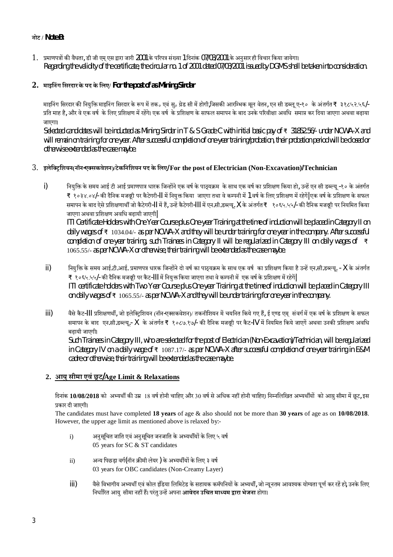### **नोट / Note B:**

1. प्रमाणपत्रों की वैधता, डी जी एम् एस द्वारा जारी 2001 के परिपत्र संख्या 1 दिनांक 07/03/2001 के अनुसार ही विचार किया जायेगा। Regarding the validityof the certificate, the circular no. 1 of 2001 dated 07/03/2001 issued by DGMS shall be taken into consideration.

### **2. माइिनंग िसरदारके पद के िलए/ For the post of as Mining Sirdar**

माइनिंग सिरदार की नियुक्ति माइनिंग सिरदार के रूप में तक॰ एवं सु॰ ग्रेड सी में होगी,जिसकी आरम्भिक मूल वेतन, एन सी डब्लू ए-१० के अंतर्गत ₹ ३१८५२.५६/-प्रति माह है, और वे एक वर्ष के लिए प्रशिक्षण में रहेंगे। एक वर्ष के प्रशिक्षण के साफल समापन के बाद उनके परिवीक्षा अवधि समाप्त कर दिया जाएगा अथवा बढ़ाया जाएगा।

Selected candidates will be inducted as Mining Sirdar in T & S Grade C with initial basic pay of ₹ 31852.56/- under NCWA-X and will remain on training for one year. After successful completion of one-year training/probation, their probation period will be closed or otherwise extended as the case maybe.

### 3. **इलेि³ůिशयन(नॉन-ए³सकवेशन)/टेकिनिशयन पद के िलए/ For the post of Electrician (Non-Excavation)/Technician**

i) नियुक्ति के समय आई टी आई प्रमाणपात्र धारक जिन्होंने एक वर्ष के साथ एक वर्ष का प्रशिक्षण किया हो, उन्हें एन सी डब्ल्यू -१० के अंतर्गत ₹ १०३४.०४/- की दैनिक मजदूरी पर कैटेगरी-|| में नियक्त किया जाएगा तथा वे कम्पनी में 1 वर्ष के लिए प्रशिक्षण में रहेगें| एक वर्ष के प्रशिक्षण के सफल समापन के बाद ऐसे प्रशिक्षणार्थी जो कैटेगरी-II में हैं, उन्हें कैटेगरी-III में एन.सी.डब्ल्यू. X के अंतर्गत ₹ १०६५.५५/- की दैनिक मजदूरी पर नियमित किया जाएगा अथवा प्रशिक्षण अवधि बढ़ायी जाएगी

ITI Certificate Holders with One Year Course plus One-year Training at the time of induction will be placed in Category II on daily wages of ₹ 1034.04/- as per NCWA-X and they will be under training for one year in the company. After successful completion of one-year training, such Trainees in Category II will be regularized in Category III on daily wages of ₹ 1065.55/- as per NCWA-X or otherwise, their training will be extended as the case maybe.

- ii) वियुक्ति के समय आई.टी.आई. प्रमाणपत्र धारक जिन्होंने दो वर्ष का पाठ्यक्रम के साथ एक वर्ष का प्रशिक्षण किया है उन्हें एन.सी.डब्ल्यू. X के अंतर्गत ₹ १०६५.५५/- की दैनिक मजदूरी पर कैट-III में नियुक्त किया जाएगा तथा वे कम्पनी में एक वर्ष के प्रशिक्षण में रहेगें| ITI certificate holders with Two Year Course plus One-year Training at the time of induction will be placed in Category III on daily wages of ₹ 1065.55/- as per NCWA-X and they will be under training for one year in the company.
- iii) वैसे कैट-III प्रशिक्षणर्थी, जो इलेक्टिशियन (नॉन-एक्सकवेशन)/ तकनीशियन में चयनित किये गए हैं, ई एण्ड एम् संवर्ग में एक वर्ष के प्रशिक्षण के सफल समापन के बाद एन.सी.डब्ल्यू.- X के अंतर्गत ₹ १०८७.१७/- की दैनिक मजदूरी पर कैट-IV में नियमित किये जाएगें अथवा उनकी प्रशिक्षण अवधि बढ़ायी जाएगी।

Such Trainees in Category III, who are selected for the post of Electrician (Non-Excavation)/Technician, will be regularized in Category IV on a daily wage of ₹ 1087.17/- as per NCWA-X after successful completion of one-year training in E&M cadre or otherwise, their training will be extended as the case maybe.

### **2. आयुसीमा एवंछू ट/Age Limit & Relaxations**

<del>दिनांक</del> 10/08/2018 को अभ्यर्थी की उम्र 18 वर्ष होनी चाहिए और 30 वर्ष से अधिक नहीं होनी चाहिए। निम्नलिखित अभ्यर्थीयों को आय़ सीमा में छट, इस ÿकार दी जाएगी।

The candidates must have completed **18 years** of age & also should not be more than **30 years** of age as on **10/08/2018**. However, the upper age limit as mentioned above is relaxed by:-

- i) अनुसूचित जाति एवं अनुसूचित जनजाति के अभ्यर्थीयों के लिए ५ वर्ष 05 years for  $SC & ST$  candidates
- ii) अन्य पिछड़ा वर्ग(नॉन क्रीमी लेयर ) के अभ्यर्थीयों के लिए ३ वर्ष 03 years for OBC candidates (Non-Creamy Layer)
- iii) वैसे विभागीय अभ्यर्थी एवं कोल इंडिया लिमिटेड के सहायक कमॅपनियों के अभ्यर्थी, जो न्यूनतम आवश्यक योग्यता पूर्ण कर रहें हो उनके लिए िनधाªåरत आयुसीमा नहéह§। परंतुउÆह¤अपना **आवेदन उिचत माÅयम Ĭारा भेजना** होगा।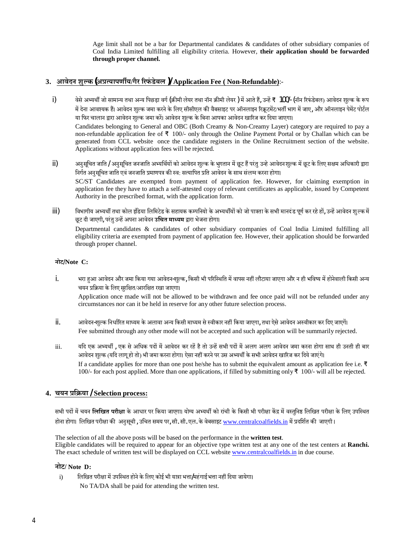Age limit shall not be a bar for Departmental candidates & candidates of other subsidiary companies of Coal India Limited fulfilling all eligibility criteria. However, **their application should be forwarded through proper channel.**

### **3. आवेदन शुÐक(अÿÂयापणêय/गैर åरफं डेबल )/ Application Fee ( Non-Refundable)**:-

i) वेसे अभ्यर्थी जो सामान्य तथा अन्य पिछडा वर्ग (क्रीमी लेयर तथा नॉन क्रीमी लेयर ) में आते हैं, उन्हें ₹ 100/- (नॉन रिफंडेबल) आवेदन शुल्क के रूप में देना आवश्यक हैं। आवेदन शुल्क जमा करने के लिए सीसीएल की वैबसाइट पर ऑनलाइन रिक्रटमेंट/भर्ती भाग में जाए, और ऑनलाइन पेमेंट पोर्टल या फिर चालान द्वारा आवेदन शुल्क जमा करें। आवेदन शुल्क के बिना आपका आवेदन खारिज कर दिया जाएगा। Candidates belonging to General and OBC (Both Creamy & Non-Creamy Layer) category are required to pay a

non-refundable application fee of ₹ 100/- only through the Online Payment Portal or by Challan which can be generated from CCL website once the candidate registers in the Online Recruitment section of the website. Applications without application fees will be rejected.  $\mathcal{L}$ 

- ii) अनुसूचित जाति / अनुसूचित जनजाति अभ्यर्थियों को आवेदन शुल्क के भुगतान में छूट हैं परंतु उन्हे आवेदनशुल्क में छूट के लिए सक्षम अधिकारी द्वारा निर्गत अनुसूचित जाति एवं जनजाति प्रमाणपत्र की स्व: सत्यापित प्रति आवेदन के साथ संलम्न करना होगा। SC/ST Candidates are exempted from payment of application fee. However, for claiming exemption in application fee they have to attach a self-attested copy of relevant certificates as applicable, issued by Competent Authority in the prescribed format, with the application form.
- iii) विभागीय अभ्यर्थी तथा कोल इंडिया लिमिटेड के सहायक कम्पनियो के अभ्यर्थीयों को जो पात्रता के सभी मानदंड पूर्ण कर रहे हों, उन्हें आवेदन शुल्क में छट दी जाएगी, परंतु उन्हें अपना आवेदन **उचित माध्यम** द्रारा भेजना होगा।

Departmental candidates & candidates of other subsidiary companies of Coal India Limited fulfilling all eligibility criteria are exempted from payment of application fee. However, their application should be forwarded through proper channel.

### **नोट/Note C:**

- i. भरा हआ आवेदन और जमा किया गया आवेदन-शुल्क, किसी भी परिस्थिति में वापस नहीं लौटाया जाएगा और न ही भविष्य में होनेवाली किसी अन्य चयन प्रक्रिया के लिए सरक्षित/आरक्षित रखा जाएगा। Application once made will not be allowed to be withdrawn and fee once paid will not be refunded under any circumstances nor can it be held in reserve for any other future selection process.
- ii. आवेदन-शुÐक िनधाªåरत माÅयम के अलावा अÆय िकसी माÅयम से Öवीकार नहé िकया जाएगा, तथा ऐसे आवेदन अÖवीकार कर िदए जाएग¤। Fee submitted through any other mode will not be accepted and such application will be summarily rejected.
- iii. यदि एक अभ्यर्थी , एक से अधिक पदों में आवेदन कर रहें है तो उन्हें सभी पदों में अलग अलग आवेदन जमा करना होगा साथ ही उनती ही बार आवेदन शुल्क (यदि लागू हो तो) भी जमा करना होगा। ऐसा नहीं करने पर उस अभ्यर्थी के सभी आवेदन खारिज कर दिये जाएंगे। If a candidate applies for more than one post he/she has to submit the equivalent amount as application fee i.e. ₹ 100/- for each post applied. More than one applications, if filled by submitting only  $\bar{\tau}$  100/- will all be rejected.

### **4. चयन ÿिøया / Selection process:**

सभी पदों में चयन **लिखित परीक्षा** के आधार पर किया जाएगा। योग्य अभ्यर्थी को रांची के किसी भी परीक्षा केंद्र में वस्तनिष्ठ लिखित परीक्षा के लिए उपस्थित होना होगा। लिखित परीक्षा की अनुसूची , उचित समय पर, सी. सी. एल. के वेबसाइट www.centralcoalfields.in में प्रदर्शित की जाएगी ।

The selection of all the above posts will be based on the performance in the **written test**. Eligible candidates will be required to appear for an objective type written test at any one of the test centers at **Ranchi.** The exact schedule of written test will be displayed on CCL website www.centralcoalfields.in in due course.

### **नोट/ Note D:**

i) लिखित परीक्षा में उपस्थित होने के लिए कोई भी यात्रा भत्ता/महंगाईभत्ता नहीं दिया जायेगा। No TA/DA shall be paid for attending the written test.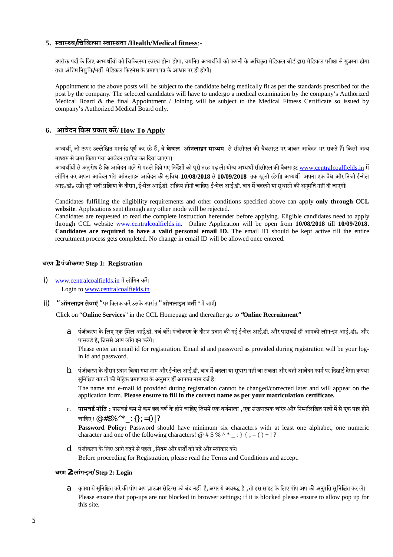### **5. ÖवाÖÃय/िचिकÂसा ÖवाÖथता /Health/Medical fitness**:-

उपरोक्त पदों के लिए अभ्यर्थीयों को चिकित्स्या स्वस्थ होना होगा. चयनित अभ्यर्थीयों को कंपनी के अधिकत मेडिकल बोर्ड द्वारा मेडिकल परीक्षा से गजरना होगा तथा अंतिम नियक्ति/भर्ती मेडिकल फिटनेस के प्रमाण पत्र के आधार पर ही होगी।

Appointment to the above posts will be subject to the candidate being medically fit as per the standards prescribed for the post by the company. The selected candidates will have to undergo a medical examination by the company's Authorized Medical Board & the final Appointment / Joining will be subject to the Medical Fitness Certificate so issued by company's Authorized Medical Board only.

### **6. आवेदन िकस ÿकार कर¤/ How To Apply**

अभ्यर्थी, जो ऊपर उल्लेखित मानदंड पूर्ण कर रहे हैं, वे **केवल ऑनलाइन माध्यम** से सीसीएल की वैबसाइट पर जाकर आवेदन भर सकते हैं। किसी अन्य माध्यम से जमा किया गया आवेदन ख़ारिज कर दिया जाएगा।

अभ्यर्थीयों से अनुरोध है कि आवेदन भरने से पहले दिये गए निर्देशों को पूरी तरह पढ़ लें। योग्य अभ्यर्थी सीसीएल की वैबसाइट www.centralcoalfields.in में लॉगिन कर अपना आवेदन भरें। ऑनलाइन आवेदन की सुविधा **10/08/2018** से 10/09/2018 तक खुली रहेगी। अभ्यर्थी अपना एक वैध और निजी ई-मेल आइ॰डी॰ रखें। परी भर्ती प्रक्रिया के दौरान, ई-मेल आई.डी. सक्रिय होनी चाहिए। ई-मेल आई.डी. बाद में बदलने या सधारने की अनमति नहीं दी जाएगी।

Candidates fulfilling the eligibility requirements and other conditions specified above can apply **only through CCL website**. Applications sent through any other mode will be rejected.

Candidates are requested to read the complete instruction hereunder before applying. Eligible candidates need to apply through CCL website www.centralcoalfields.in. Online Application will be open from **10/08/2018** till **10/09/2018. Candidates are required to have a valid personal email ID.** The email ID should be kept active till the entire recruitment process gets completed. No change in email ID will be allowed once entered.

#### **चरण 1: पंजीकरण/ Step 1: Registration**

i) www.centralcoalfields.in में लॉगिन करें। Login to www.centralcoalfields.in .

in id and password.

ii) " ऑनलाइन सेवाएँ " पर क्लिक करें उसके उपरांत " ऑनलाइन भर्ती " में जाएँ।

Click on "**Online Services**" in the CCL Homepage and thereafter go to **"Online Recruitment"**

- a. पंजीकरण के लिए एक ईमेल आई.डी. दर्ज करें। पंजीकरण के दौरान प्रदान की गई ई-मेल आई.डी. और पासवर्ड हीं आपकी लॉग-इन आई॰डी॰ और पासवर्ड है, जिससे आप लॉग इन करेंगे। Please enter an email id for registration. Email id and password as provided during registration will be your log-
- b. पंजीकरण के दौरान प्रदान किया गया नाम और ई-मेल आई.डी. बाद में बदला या सुधारा नहीं जा सकता और वही आवेदन फार्म पर दिखाई देगा। कृपया सुनिश्चित कर लें की मैट्रिक प्रमाणपत्र के अनुसार हीं आपका नाम दर्ज है। The name and e-mail id provided during registration cannot be changed/corrected later and will appear on the application form. **Please ensure to fill in the correct name as per your matriculation certificate.**
- c. **पासवर्ड नीति :** पासवर्ड कम से कम छह वर्ण के होने चाहिए जिसमें एक वर्णमाला , एक संख्यात्मक चरित्र और निम्नलिखित पात्रों में से एक पात्र होने चाहिए ! @ # \$% ^ \* \_ : {} ; = () | ? Password Policy: Password should have minimum six characters with at least one alphabet, one numeric
- character and one of the following characters! @  $\# \$\% \^*$  : } { ; = ( ) + | ? d. पंजीकरण के लिए आगे बढ़ने से पहले , नियम और शर्तों को पढे और स्वीकार करें।

Before proceeding for Registration, please read the Terms and Conditions and accept.

#### **चरण 2: लॉग-इन/ Step 2: Login**

a. कुपया ये सुनिश्चित करें की पॉप अप ब्राउज़र सेटिंग्स को बंद नहीं हैं, अगर ये अवरुद्ध है , तो इस साइट के लिए पॉप अप की अनुमति सुनिश्चित कर लें। Please ensure that pop-ups are not blocked in browser settings; if it is blocked please ensure to allow pop up for this site.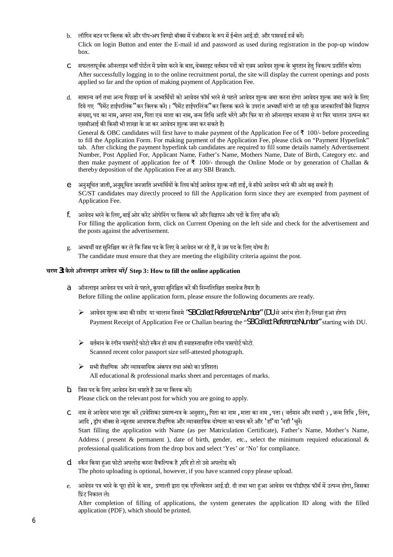- b. लॉगिन बटन पर क्लिक करें और पॉप-अप विण्डो बॉक्स में पंजीकरन के रूप में ई-मेल आई.डी. और पासवर्ड दर्ज करें। Click on login Button and enter the E-mail id and password as used during registration in the pop-up window box.
- C. सफलतापूर्वक ऑनलाइन भर्ती पोर्टल में प्रवेश करने के बाद, वेबसाइट वर्तमान पदों को एवम आवेदन शुल्क के भुगतान हेतु विकल्प प्रदर्शित करेगा। After successfully logging in to the online recruitment portal, the site will display the current openings and posts applied so far and the option of making payment of Application Fee.
- d. सामान्य वर्ग तथा अन्य पिछड़ा वर्ग के अभ्यर्थियों को आवेदन फॉर्म भरने से पहले आवेदन शुल्क जमा आवेदन शुल्क जमा करने के लिए दिये गए "पेमेंट हाईपरलिंक" कर क्लिक करें।। "पेमेंट हाईपरलिंक" कर क्लिक करने के उपरांत अभ्यर्थी मांगी जा रही कुछ जानकारियाँ जैसे विज्ञापन संख्या, पद का नाम, अपना नाम, पिता एवं माता का नाम, जन्म तिथि आदि भरेंगे और फिर या तो ऑनलाइन माध्याम से या फिर चालान उत्पन्न कर एसबीआई की किसी भी शाखा के जा कर आवेदन शुल्क जमा कर सकते है।

General & OBC candidates will first have to make payment of the Application Fee of ₹ 100/- before proceeding to fill the Application Form. For making payment of the Application Fee, please click on "Payment Hyperlink" tab. After clicking the payment hyperlink tab candidates are required to fill some details namely Advertisement Number, Post Applied For, Applicant Name, Father's Name, Mothers Name, Date of Birth, Category etc. and then make payment of application fee of ₹ 100/- through the Online Mode or by generation of Challan & thereby deposition of the Application Fee at any SBI Branch.

- e. अनुसूचित जाती, अनुसूचित जनजाति अभ्यर्थियों के लिय कोई आवेदन शुल्क नही हाई, वे सीधे आवेदन भरने की ओर बढ़ सकते है। SC/ST candidates may directly proceed to fill the Application form since they are exempted from payment of Application Fee.
- f. आवेदन भरने के लिए, बाईं ओर करेंट ओपेनिंग पर क्लिक करें और विज्ञापन और पदों के लिए जाँच करें। For filling the application form, click on Current Opening on the left side and check for the advertisement and the posts against the advertisement.
- g. अभ्यर्थी यह सुनिश्चित कर ले कि जिस पद के लिए वे आवेदन भर रहे हैं, वे उस पद के लिए योग्य है। The candidate must ensure that they are meeting the eligibility criteria against the post.

### **चरण 3: कै से ऑनलाइन आवेदन भर¤/ Step 3: How to fill the online application**

- a. अॉनलाइन आवेदन पत्र भरने से पहले, कपया सनिश्चित करें की निम्नलिखित दस्तावेज तैयार है। Before filling the online application form, please ensure the following documents are ready.
	- $\triangleright$  आवेदन शुल्क जमा की रसीद या चालान जिसमे "SBCollect Reference Number" (DU से आरंभ होता है) लिखा हुआ होगा। Payment Receipt of Application Fee or Challan bearing the "SBCollect Reference Number" starting with DU.
	- $\blacktriangleright$  वर्तमान के रंगीन पासपोर्ट फोटो स्कैन हो साथ ही स्वाहस्ताक्षरित रंगीन पासपोर्ट फोटो. Scanned recent color passport size self-attested photograph.
	- $\blacktriangleright$  सभी शैक्षणिक और व्यावसायिक अंकपत्र तथा अंको का प्रतिशत। All educational  $&$  professional marks sheet and percentages of marks.
- b. जिस पद के लिए आवेदन देना चाहते है उस पर क्लिक करें। Please click on the relevant post for which you are going to apply.
- C. नाम से आवेदन भरना शुरू करें (प्रवेशिका प्रमाण-पत्र के अनुसार), पिता का नाम , माता का नाम , पता ( वर्तमान और स्थायी ) , जन्म तिथि , लिंग, आदि , ड्रॉप बॉक्स से न्यूनतम आवश्यक शैक्षणिक और व्यावसायिक योग्यता का चयन करें और ' हाँ' या 'नहीं ' चुनें। Start filling the application with Name (as per Matriculation Certificate), Father's Name, Mother's Name, Address ( present & permanent ), date of birth, gender, etc., select the minimum required educational  $\&$ professional qualifications from the drop box and select 'Yes' or 'No' for compliance.
- d. ) स्कैन किया हुआ फोटो अपलोड करना वैकल्पिक है ,यदि हो तो उसे अपलोड करें। The photo uploading is optional, however, if you have scanned copy please upload.
- e. आवेदन पत्र भरने के पूरा होने के बाद, प्रणाली द्वारा एक एप्लिकेशन आई.डी. दी तथा भरा हआ आवेदन पत्र पीडीएफ़ फॉर्म में उत्पन्न होगा, जिसका प्रिंट निकाल ले।

After completion of filling of applications, the system generates the application ID along with the filled application (PDF), which should be printed.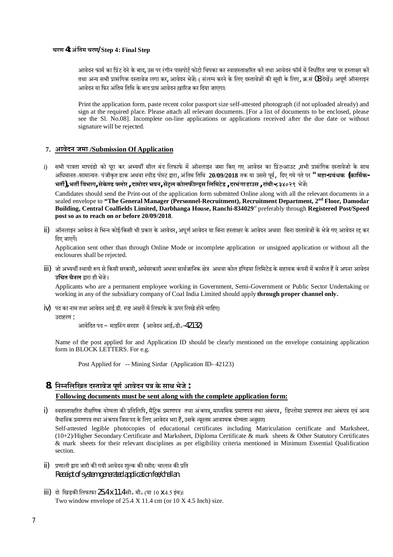#### **चरण 4: अंितम चरण/ Step 4: Final Step**

आवेदन फार्म का प्रिंट देने के बाद, उस पर रंगीन पासपोर्ट फोटो चिपका कर स्वाहस्ताक्षरित करें तथा आवेदन फॉर्म में निर्धारित जगह पर हस्ताक्षर करें तथा अन्य सभी प्रासंगिक दस्तावेज लगा कर, आवेदन भेजें। ( संलम्न करने के लिए दस्तावेजों की सूची के लिए, क्र सं 08 देखें)। अपूर्ण ऑनलाइन आवेदन या फिर अंतिम तिथि के बाद प्राप्त आवेदन ख़ारिज कर दिया जाएगा।

Print the application form, paste recent color passport size self-attested photograph (if not uploaded already) and sign at the required place. Please attach all relevant documents. [For a list of documents to be enclosed, please see the Sl. No.08]. Incomplete on-line applications or applications received after the due date or without signature will be rejected.

#### **7. आवेदन जमा /Submission Of Application**

i) सभी पात्रता मापदंडो को पूरा कर अभ्यर्थी सील बंद लिफाफे में ऑनलाइन जमा किए गए आवेदन का प्रिंट-आउट ,सभी प्रासंगिक दस्तावेजो के साथ अधिमानतः/सामान्यतः पंजीकत डाक अथवा स्पीड पोस्ट द्वारा, अंतिम तिथि **20/09/2018** तक या उससे पर्वं , दिए गये पते पर **" महा-प्रबंधक (कार्मिक-**भर्ती), भर्ती विभाग, सेकेण्ड फ्लोर , दामोदर भवन, सेंट्रल कोलफील्ड्स लिमिटेड , दरभंगा हाउस , रांची-८३४०२९ भेजें।

Candidates should send the Print-out of the application form submitted Online along with all the relevant documents in a sealed envelope to **"The General Manager (Personnel-Recruitment), Recruitment Department, 2nd Floor, Damodar Building, Central Coalfields Limited, Darbhanga House, Ranchi-834029**" preferably through **Registered Post/Speed post so as to reach on or before 20/09/2018**.

ii) अॉनलाइन आवेदन से भिन्न कोई/किसी भी प्रकार के आवेदन, अपर्ण आवेदन या बिना हस्ताक्षर के आवेदन अथवा बिना दस्तावेजों के भेजे गए आवेदन रद्द कर दिए जाएगें।

Application sent other than through Online Mode or incomplete application or unsigned application or without all the enclosures shall be rejected.

iii) जो अभ्यर्थी स्थायी रूप से किसी सरकारी, अर्धसरकारी अथवा सार्वजानिक क्षेत्र अथवा कोल इण्डिया लिमिटेड के सहायक कंपनी में कार्यरत हैं वे अपना आवेदन **उिचत चैनल** Ĭारा ही भेजे।

Applicants who are a permanent employee working in Government, Semi-Government or Public Sector Undertaking or working in any of the subsidiary company of Coal India Limited should apply **through proper channel only.**

iv) पद का नाम तथा आवेदन आई.डी. स्प्ष्ट अक्षरों में लिफाफे के ऊपर लिखे होने चाहिए। उदाहरण :

आवेिदत पद– माइिनंग सरदार ( आवेदन आई॰डी॰-42132)

Name of the post applied for and Application ID should be clearly mentioned on the envelope containing application form in BLOCK LETTERS. For e.g.

Post Applied for -- Mining Sirdar (Application ID- 42123)

# **8. िनÌनिलिखत दÖतावेज पूणªआवेदन पý केसाथ भेजे: Following documents must be sent along with the complete application form:**

i) स्वहस्ताक्षरित शैक्षणिक योग्यता की प्रतिलिपि, मैटिक प्रमाणपत्र तथा अमणपत्र तथा अंकपत्र, डिप्लोमा प्रमाणपत्र तथा अंकपत्र एवं अन्य वैधानिक प्रमाणपत्र तथा अंकपत्र जिस पद के लिए आवेदन भरा हैं, उसके न्यूनतम आवश्यक योग्यता अनुसार। Self-attested legible photocopies of educational certificates including Matriculation certificate and Marksheet,

(10+2)/Higher Secondary Certificate and Marksheet, Diploma Certificate & mark sheets & Other Statutory Certificates & mark sheets for their relevant disciplines as per eligibility criteria mentioned in Minimum Essential Qualification section.

- ii) प्रणाली द्वारा जारी की गयी आवेदन शुल्क की रसीद/ चालान की प्रति Receipt of system generated application fee/challan.
- iii) दो िखड़कì िलफाफा25.4x11.4 सी॰ मी॰ (या 10 x4.5 इंच)। Two window envelope of 25.4 X 11.4 cm (or 10 X 4.5 Inch) size.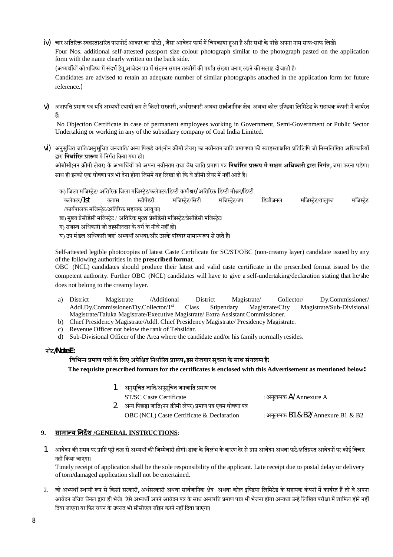iv) चार अतिरिक्त स्वहस्ताक्षरित पासपोर्ट आकार का फ़ोटो , जैसा आवेदन फार्म में चिपकाया हआ हैं और सभी के पीछे अपना नाम साफ-साफ लिखें। Four Nos. additional self-attested passport size colour photograph similar to the photograph pasted on the application form with the name clearly written on the back side.

(अभ्यर्थीयों को भविष्य में संदर्भ हेतू आवेदन पत्र में संलम्न समान तस्वीरों की पर्याप्त संख्या बनाए रखने की सलाह दीजाती है/

Candidates are advised to retain an adequate number of similar photographs attached in the application form for future reference.)

v) अनापत्ति प्रमाण पत्र यदि अभ्यर्थी स्थायी रूप से किसी सरकारी, अर्धसरकारी अथवा सार्वजानिक क्षेत्र अथवा कोल इण्डिया लिमिटेड के सहायक कंपनी में कार्यरत ह§।

No Objection Certificate in case of permanent employees working in Government, Semi-Government or Public Sector Undertaking or working in any of the subsidiary company of Coal India Limited.

vi) अनुसुचित जाति/अनुसुचित जनजाति/ अन्य पिछडे वर्ग(नॉन क्रीमी लेयर) का नवीनतम जाति प्रमाणपत्र की स्वाहस्ताक्षरित प्रतिलिपि जो निम्नलिखित अधिकारियों द्रारा **निर्धारित प्रारूप** में निर्गत किया गया हो। http://www.gyananetra.com/

ओबीसी(नन क्रीमी लेयर) के अभ्यर्थियों को अपना नवीनतम तथा वैध जाति प्रमाण पत्र **निर्धारित प्रारूप में सक्षम अधिकारी द्वारा निर्गत**, जमा करना पड़ेगा। साथ ही इनको एक घोषणा पत्र भी देना होगा जिसमें यह लिखा हो कि वे क्रीमी लेयर में नहीं आते है।

- क) जिला मजिस्ट्रेट/ अतिरिक्त जिला मजिस्ट्रेट/कलेक्टर/डिप्टी कमीश्न $\ell$  अतिरिक्त डिप्टी मीश्न $\ell$ डिप्टी
- कलेक्टर/1st क्लास स्टीपेंडरी मजिस्ट्रेट/सिटी मजिस्ट्रेट/उप डिवीजनल मजिस्ट्रेट/तालुका मजिस्ट्रेट /कार्यपालक मजिस्टेट/अतिरिक्त सहायक आयुक्त।

ख) मुख्य प्रेसीडेंसी मजिस्ट्रेट / अतिरिक्त मुख्य प्रेसीडेंसी मजिस्ट्रेट/प्रेसीडेंसी मजिस्ट्रेट।

ग) राजस्व अधिकारी जो तह्सीलदार के वर्ग के नीचे नहीं हो।

घ) उप मंडल अधिकारी जहां अभ्यर्थी अथवा/और उसके परिवार सामान्यरूप से रहते हैं।

Self-attested legible photocopies of latest Caste Certificate for SC/ST/OBC (non-creamy layer) candidate issued by any of the following authorities in the **prescribed format**.

OBC (NCL) candidates should produce their latest and valid caste certificate in the prescribed format issued by the competent authority. Further OBC (NCL) candidates will have to give a self-undertaking/declaration stating that he/she does not belong to the creamy layer.

- a) District Magistrate /Additional District Magistrate/ Collector/ Dy.Commissioner/ Addl.Dy.Commissioner/Dy.Collector/1st Class Stipendary Magistrate/City Magistrate/Sub-Divisional Magistrate/Taluka Magistrate/Executive Magistrate/ Extra Assistant Commissioner.
- b) Chief Presidency Magistrate/Addl. Chief Presidency Magistrate/ Presidency Magistrate.
- c) Revenue Officer not below the rank of Tehsildar.
- d) Sub-Divisional Officer of the Area where the candidate and/or his family normally resides.

#### **नोट/Note E:**

### $\overline{a}$ भिन्न प्रमाण पत्रों के लिए अपेक्षित निर्धारित प्रारूप, इस रोजगार सूचना के साथ संगलग्न है

**The requisite prescribed formats for the certificates is enclosed with this Advertisement as mentioned below:**

| 1. अनुसूचित जाति/अनुसूचित जनजाति प्रमाण पत्र                   |                                            |
|----------------------------------------------------------------|--------------------------------------------|
| ST/SC Caste Certificate                                        | : अनुलम्नक A/ Annexure A                   |
| 2. अन्य पिछड़ा जाति(नन क्रीमी लेयर) प्रमाण पत्र एवम घोषणा पत्र |                                            |
| OBC (NCL) Caste Certificate & Declaration                      | : अनुलम्बक $B1 \& B2/$ Annexure B1 $\& B2$ |

### **9. सामाÛय Ǔनदȶश /GENERAL INSTRUCTIONS**:

1. आवेदन की समय पर प्राप्ति परी तरह से अभ्यर्थी की जिम्मेवारी होगी। डाक के विलंभ के कारण देर से प्राप्त आवेदन अथवा फटे/क्षतिग्रस्त आवेदनों पर कोई विचार नहé िकया जाएगा।

Timely receipt of application shall be the sole responsibility of the applicant. Late receipt due to postal delay or delivery of torn/damaged application shall not be entertained.

2. जो अभ्यर्थी स्थायी रूप से किसी सरकारी, अर्धसरकारी अथवा सार्वजानिक क्षेत्र अथवा कोल इण्डिया लिमिटेड के सहायक कंपनी में कार्यरत हैं तो वे अपना आवेदन उचित चैनल द्वारा ही भेजे। ऐसे अभ्यर्थी अपने आवेदन पत्र के साथ अनापत्ति प्रमाण पात्र भी भेजना होगा अन्यथा उन्हे लिखित परीक्षा में शामिल होने नहीं दिया जाएगा या फिर चयन के उपरांत भी सीसीएल जॉइन करने नहीं दिया जाएगा।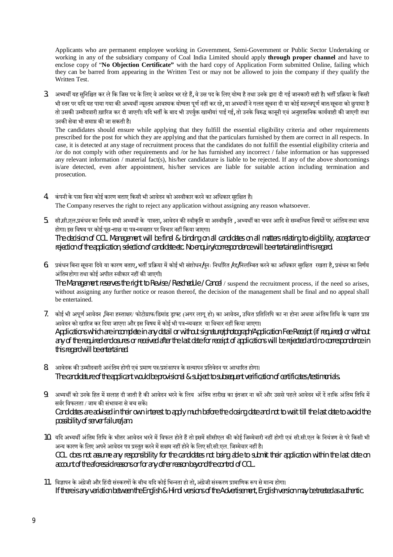Applicants who are permanent employee working in Government, Semi-Government or Public Sector Undertaking or working in any of the subsidiary company of Coal India Limited should apply **through proper channel** and have to enclose copy of "**No Objection Certificate"** with the hard copy of Application Form submitted Online, failing which they can be barred from appearing in the Written Test or may not be allowed to join the company if they qualify the Written Test.

3. अभ्यर्थी यह सुनिश्चित कर ले कि जिस पद के लिए वे आवेदन भर रहे हैं, वे उस पद के लिए योग्य है तथा उनके द्वारा दी गई जानकारी सही है। भर्ती प्रक्रिया के किसी भी स्तर पर यदि यह पाया गया की अभ्यर्थी न्यूनतम आवश्यक योग्यता पूर्ण नहीं कर रहे, या अभ्यर्थी ने गलत सूचना दी या कोई महत्वपूर्ण बात/सूचना को छुपाया है तो उसकी उम्मीदवारी ख़ारिज कर दी जाएगी। यदि भर्ती के बाद भी उपर्युक्त खामीयां पाई गई, तो उनके विरुद्ध कानूनी एवं अनुशासनिक कार्यवाही की जाएगी तथा उनकì सेवा भी समाĮ कì जा सकती है।

The candidates should ensure while applying that they fulfill the essential eligibility criteria and other requirements prescribed for the post for which they are applying and that the particulars furnished by them are correct in all respects. In case, it is detected at any stage of recruitment process that the candidates do not fulfill the essential eligibility criteria and /or do not comply with other requirements and /or he has furnished any incorrect / false information or has suppressed any relevant information / material fact(s), his/her candidature is liable to be rejected. If any of the above shortcomings is/are detected, even after appointment, his/her services are liable for suitable action including termination and prosecution.

- 4. कंपनी के पास बिना कोई कारण बताए किसी भी आवेदन को अस्वीकार करने का अधिकार सुरक्षित है। The Company reserves the right to reject any application without assigning any reason whatsoever.
- 5. सी.सी.एल.प्रबंधन का निर्णय सभी अभ्यर्थी के पात्रता, आवेदन की स्वीकृति या अस्वीकृति , अभ्यर्थी का चयन आदि से सम्बन्धित विषयों पर आंतिम तथा बाध्य होगा। इस विषय पर कोई पूछ-ताछ या पत्र-व्यवहार पर विचार नहीं किया जाएगा। The decision of CCL Management will be final & binding on all candidates on all matters relating to eligibility, acceptance or rejection of the application, selection of candidate etc. No enquiry/correspondence will be entertained in this regard.
- 6. प्रबंधन बिना सूचना दिये या कारण बताए, भर्ती प्रक्रिया में कोई भी संशोधन/पुनः निर्धारित /रद्द/निलम्बित करने का अधिकार सुरक्षित रखता है, प्रबंधन का निर्णय अंतिम होगा तथा कोई अपील स्वीकार नहीं की जाएगी।

The Management reserves the right to Revise / Reschedule / Cancel / suspend the recruitment process, if the need so arises, without assigning any further notice or reason thereof, the decision of the management shall be final and no appeal shall be entertained.

- 7. कोई भी अपूर्ण आवेदन ,बिना हस्ताक्षर/ फोटोग्राफ/डिमांड ड्राफ्ट (अगर लागू हो) का आवेदन, उचित प्रतिलिपि का ना होना अथवा अंतिम तिथि के पश्चात प्राप्त आवेदन को खारिज कर दिया जाएगा और इस विषय में कोई भी पत्र-व्यवहार या विचार नहीं किया जाएगा। Applications which are incomplete in any detail or without signature/photograph/Application Fee Receipt (if required) or without any of the required enclosures or received after the last date for receipt of applications will be rejected and no correspondence in this regard will be entertained.
- 8. अावेदक की उम्मीदवारी अनंतिम होगी एवं प्रमाण पत्र/प्रशंसापत्र के सत्यापन प्रतिवेदन पर आधारित होगा। The candidature of the applicant would be provisional & subject to subsequent verification of certificates /testimonials.
- 9. अभ्यर्थी को उनके हित में सलाह दी जाती है की आवेदन भरने के लिय अंतिम तारीख का इंतजार ना करें और उससे पहले आवेदन भरें दें ताकि अंतिम तिथि में सर्वर विफलता / जाम की संभावना से बच सकें। Candidates are advised in their own interest to apply much before the closing date and not to wait till the last date to avoid the possibility of server failure/jam.
- 10. यदि अभ्यर्थी अंतिम तिथि के भीतर आवेदन भरने में विफल होते हैं तो इसमें सीसीएल की कोई जिम्मेवारी नहीं होगी एवं सी.सी.एल के नियंत्रण से परे किसी भी अन्य कारण के लिए अपने आवेदन पत्र प्रस्तुत करने में सक्षम नहीं होने के लिए सी.सी.एल. जिम्मेवार नहीं है। CCL does not assume any responsibility for the candidates not being able to submit their application within the last date on account of the aforesaid reasons or for any other reason beyond the control of CCL.
- 11. विज्ञापन के अंग्रेजी और हिंदी संस्करणों के बीच यदि कोई भिन्नता हो तो, अंग्रेजी संस्करण प्रामाणिक रूप से मान्य होगा। If there is any variation between the English & Hindi versions of the Advertisement, English version may be treated as authentic.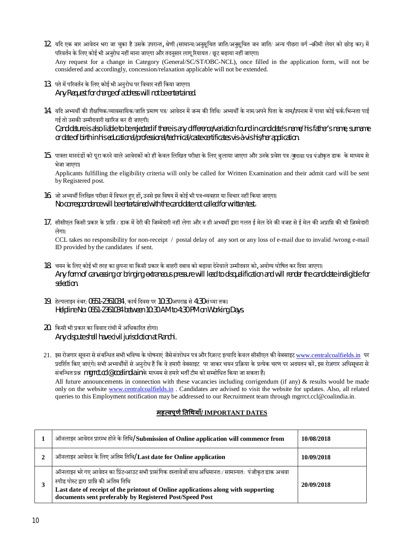- 12. यदि एक बार आवेदन भरा जा चुका है उसके उपरान्त, श्रेणी (सामान्य/अनुसूचित जाति/अनुसूचित जन जाति/ अन्य पीछरा वर्ग –क्रीमी लेयर को छोड़ कर) में परिवर्तन के लिए कोई भी अनुरोध नहीं माना जाएगा और तदनुसार लागू रियायत / छूट बढ़ाया नहीं जाएगा। Any request for a change in Category (General/SC/ST/OBC-NCL), once filled in the application form, will not be considered and accordingly, concession/relaxation applicable will not be extended.
- 13. पते में परिवर्तन के लिए कोई भी अनुरोध पर विचार नहीं किया जाएगा। Any Request for change of address will not be entertained.
- 14. यदि अभ्यर्थी की शैक्षणिक/व्यावसायिक/जाति प्रमाण पत्र/ आवेदन में जन्म की तिथि/ अभ्यर्थी के नाम/अपने पिता के नाम/उपनाम में पाया कोई फर्क/भिन्नता पाई गई तो उसकी उम्मीदवारी खारिज कर दी जाएगी। Candidature is also liable to be rejected if there is any difference/variation found in candidate's name/ his father's name, surname or date of birth in his educational/professional/technical/caste certificates vis-à-vis his/her application.
- 15. पात्रता मानदंडों को पूरा करने वाले आवेदकों को ही केवल लिखित परीक्षा के लिए बुलाया जाएगा और उनके प्रवेश पत्र /बुलावा पत्र पंजीकृत डाक के माध्यम से भेजा जाएगा। Applicants fulfilling the eligibility criteria will only be called for Written Examination and their admit card will be sent by Registered post.
- 16. जो अभ्यर्थी लिखित परीक्षा में विफल हुए हों, उनसे इस विषय में कोई भी पत्र-व्यवहार या विचार नहीं किया जाएगा। No correspondence will be entertained with the candidate not called for written test.
- 17. सीसीएल किसी प्रकार के प्राप्ति / डाक में देरी की जिम्मेदारी नहीं लेगा और न ही अभ्यर्थी द्वारा गलत ई मेल देने की वजह से ई मेल की अप्राप्ति की भी जि़म्मेदारी लेगा।

CCL takes no responsibility for non-receipt / postal delay of any sort or any loss of e-mail due to invalid /wrong e-mail ID provided by the candidates if sent.

- 18. चयन के लिए कोई भी तरह का छपना या किसी प्रकार के बाहरी दबाव को बढ़ावा देनेवाले उम्मीदवार को, अयोग्य घोषित कर दिया जाएगा। Any form of canvassing or bringing extraneous pressure will lead to disqualification and will render the candidate ineligible for selection.
- $19.$  हेल्पलाइन नंबर: 0651-2361034) कार्य दिवस पर 10:30 अपराह्न से 4:30 संध्या तक। Helpline No: 0651-2361034 between 10:30 AM to 4:30 PM on Working Days.
- 20. किसी भी प्रकार का विवाद रांची में अधिकारित होगा। Any dispute shall have civil jurisdiction at Ranchi.

21. इस रोजगार सूचना से संबन्धित सभी भविष्य के घोषनाएं जैसे संशोधन पत्र और रिजल्ट इत्यादि केवल सीसीएल की वेबसाइट www.centralcoalfields.in पर प्रदर्शित किए जाएंगे। सभी अभ्यर्थीयों से अनुरोध हैं कि वे हमारी वेबसाइट पर जाकर चयन प्रक्रिया के प्रत्येक चरण पर अदयतन करें. इस रोज़गार अधिसूचना से संबन्धित प्रश्न mgrrct.ccl@coalindia.in के माध्यम से हमारे भर्ती टीम को सम्बोधित किया जा सकता हैं। All future announcements in connection with these vacancies including corrigendum (if any)  $\&$  results would be made only on the website www.centralcoalfields.in . Candidates are advised to visit the website for updates. Also, all related queries to this Employment notification may be addressed to our Recruitment team through mgrrct.ccl@coalindia.in.

### **मह×वपूण[Ǔतͬथयाँ/ IMPORTANT DATES**

| ऑनलाइन आवेदन प्रारम्भ होने के तिथि/ Submission of Online application will commence from                                                                                                                                                                                                          | 10/08/2018 |  |  |
|--------------------------------------------------------------------------------------------------------------------------------------------------------------------------------------------------------------------------------------------------------------------------------------------------|------------|--|--|
| ऑनलाइन आवेदन के लिए अंतिम तिथि/ Last date for Online application                                                                                                                                                                                                                                 | 10/09/2018 |  |  |
| ऑनलाइन भरे गए आवेदन का प्रिंट-आउट सभी प्रासंगिक दस्तावेजों साथ अधिमानतः/ सामान्यतः पंजीकृत डाक अथवा<br>स्पीड पोस्ट द्वारा प्राप्ति की अंतिम तिथि<br>Last date of receipt of the printout of Online applications along with supporting<br>documents sent preferably by Registered Post/Speed Post | 20/09/2018 |  |  |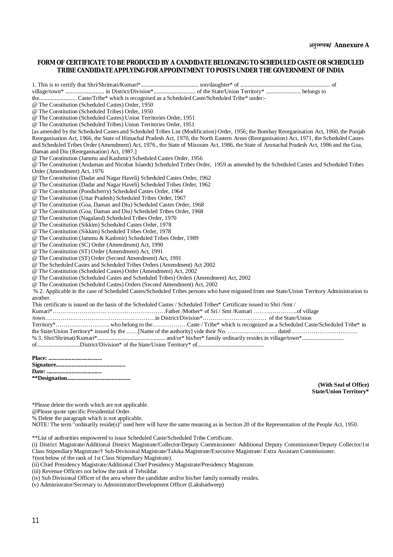#### **FORM OF CERTIFICATE TO BE PRODUCED BY A CANDIDATE BELONGING TO SCHEDULED CASTE OR SCHEDULED TRIBE CANDIDATE APPLYING FOR APPOINTMENT TO POSTS UNDER THE GOVERNMENT OF INDIA**

1. This is to certify that Shri/Shrimati/Kumari\*........................................ son/daughter\* of .............................................................. of village/town\* ........................... in District/Division\*............................. of the State/Union Territory\* ........................ belongs to the.......................... Caste/Tribe\* which is recognised as a Scheduled Caste/Scheduled Tribe\* under:- @ The Constitution (Scheduled Castes) Order, 1950 @ The Constitution (Scheduled Tribes) Order, 1950 @ The Constitution (Scheduled Castes) Union Territories Order, 1951 @ The Constitution (Scheduled Tribes) Union Territories Order, 1951 [as amended by the Scheduled Castes and Scheduled Tribes List (Modification) Order, 1956; the Bombay Reorganisation Act, 1960, the Punjab Reorganisation Act, 1966, the State of Himachal Pradesh Act, 1970, the North Eastern Areas (Reorganisation) Act, 1971, the Scheduled Castes and Scheduled Tribes Order (Amendment) Act, 1976., the State of Mizoram Act, 1986, the State of Arunachal Pradesh Act, 1986 and the Goa, Daman and Diu (Reorganisation) Act, 1987.] @ The Constitution (Jammu and Kashmir) Scheduled Castes Order, 1956 @ The Constitution (Andaman and Nicobar Islands) Scheduled Tribes Order, 1959 as amended by the Scheduled Castes and Scheduled Tribes Order (Amendment) Act, 1976 @ The Constitution (Dadar and Nagar Haveli) Scheduled Castes Order, 1962 @ The Constitution (Dadar and Nagar Haveli) Scheduled Tribes Order, 1962 @ The Constitution (Pondicherry) Scheduled Castes Order, 1964 @ The Constitution (Uttar Pradesh) Scheduled Tribes Order, 1967 @ The Constitution (Goa, Daman and Diu) Scheduled Castes Order, 1968 @ The Constitution (Goa, Daman and Diu) Scheduled Tribes Order, 1968 @ The Constitution (Nagaland) Scheduled Tribes Order, 1970 @ The Constitution (Sikkim) Scheduled Castes Order, 1978 @ The Constitution (Sikkim) Scheduled Tribes Order, 1978 @ The Constitution (Jammu & Kashmir) Scheduled Tribes Order, 1989 @ The Constitution (SC) Order (Amendment) Act, 1990 @ The Constitution (ST) Order (Amendment) Act, 1991 @ The Constitution (ST) Order (Second Amendment) Act, 1991 @ The Scheduled Castes and Scheduled Tribes Orders (Amendment) Act 2002 @ The Constitution (Scheduled Castes) Order (Amendment) Act, 2002 @ The Constitution (Scheduled Castes and Scheduled Tribes) Orders (Amendment) Act, 2002 @ The Constitution (Scheduled Castes) Orders (Second Amendment) Act, 2002 % 2. Applicable in the case of Scheduled Castes/Scheduled Tribes persons who have migrated from one State/Union Territory Administration to another. This certificate is issued on the basis of the Scheduled Castes / Scheduled Tribes\* Certificate issued to Shri /Smt / Kumari\*………………………. …………………………Father /Mother\* of Sri / Smt /Kumari …………………..of village /town…………………………………………………in District/Division\*…………………………… of the State/Union Territory\*………………………. who belong to the………………Caste / Tribe\* which is recognized as a Scheduled Caste/Scheduled Tribe\* in the State/Union Territory\* issued by the ……[Name of the authority] vide their No. ………………………………………………………………………………………… % 3. Shri/Shrimati/Kumari\*............................................... and/or\* his/her\* family ordinarily resides in village/town\*............................. of..............................District/Division\* of the State/Union Territory\* of.............................................. **Place: ..................................... Signature................................................**

**Date: ......................................** 

**\*\*Designation............................................**

**(With Seal of Office) State/Union Territory\***

\*Please delete the words which are not applicable.

@Please quote specific Presidential Order.

% Delete the paragraph which is not applicable.

NOTE: The term "ordinarily reside(s)" used here will have the same meaning as in Section 20 of the Representation of the People Act, 1950.

\*\*List of authorities empowered to issue Scheduled Caste/Scheduled Tribe Certificate.

- (i) District Magistrate/Additional District Magistrate/Collector/Deputy Commissioner/ Additional Deputy Commissioner/Deputy Collector/1st Class Stipendiary Magistrate/† Sub-Divisional Magistrate/Taluka Magistrate/Executive Magistrate/ Extra Assistant Commissioner. †(not below of the rank of 1st Class Stipendiary Magistrate).
- (ii) Chief Presidency Magistrate/Additional Chief Presidency Magistrate/Presidency Magistrate.

(iii) Revenue Officers not below the rank of Tehsildar.

- (iv) Sub Divisional Officer of the area where the candidate and/or his/her family normally resides.
- (v) Administrator/Secretary to Administrator/Development Officer (Lakshadweep)